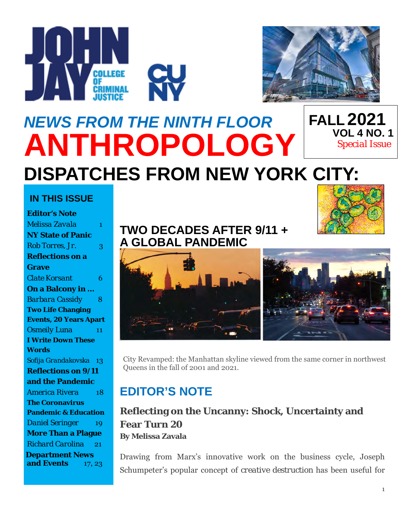



### *NEWS FROM THE NINTH FLOOR* **ANTHROPOLOGY DISPATCHES FROM NEW YORK CITY: FALL 2021 VOL 4 NO. 1** *Special Issue*

### **IN THIS ISSUE**

| <b>Editor's Note</b>            |        |
|---------------------------------|--------|
| Melissa Zavala                  | 1      |
| <b>NY State of Panic</b>        |        |
| Rob Torres, Jr.                 | 3      |
| <b>Reflections on a</b>         |        |
| <b>Grave</b>                    |        |
| <b>Clate Korsant</b>            | 6      |
| On a Balcony in                 |        |
| <b>Barbara Cassidy</b>          | 8      |
| <b>Two Life Changing</b>        |        |
| <b>Events, 20 Years Apart</b>   |        |
| <b>Osmeily Luna</b>             | 11     |
| <b>I Write Down These</b>       |        |
| Words                           |        |
| Sofija Grandakovska 13          |        |
| <b>Reflections on 9/11</b>      |        |
| and the Pandemic                |        |
| America Rivera                  | 18     |
| <b>The Coronavirus</b>          |        |
| <b>Pandemic &amp; Education</b> |        |
| <b>Daniel Seringer</b>          | 19     |
| <b>More Than a Plague</b>       |        |
| <b>Richard Carolina</b>         | $-21$  |
| <b>Department News</b>          |        |
| and Events                      | 17, 23 |

## **TWO DECADES AFTER 9/11 + A GLOBAL PANDEMIC**





City Revamped: the Manhattan skyline viewed from the same corner in northwest Queens in the fall of 2001 and 2021.

# **EDITOR'S NOTE**

**Reflecting on the Uncanny: Shock, Uncertainty and Fear Turn 20 By Melissa Zavala**

Drawing from Marx's innovative work on the business cycle, Joseph Schumpeter's popular concept of *creative destruction* has been useful for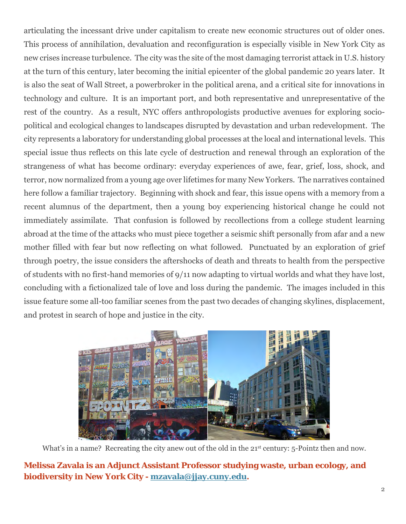articulating the incessant drive under capitalism to create new economic structures out of older ones. This process of annihilation, devaluation and reconfiguration is especially visible in New York City as new crises increase turbulence. The city was the site of the most damaging terrorist attack in U.S. history at the turn of this century, later becoming the initial epicenter of the global pandemic 20 years later. It is also the seat of Wall Street, a powerbroker in the political arena, and a critical site for innovations in technology and culture. It is an important port, and both representative and unrepresentative of the rest of the country. As a result, NYC offers anthropologists productive avenues for exploring sociopolitical and ecological changes to landscapes disrupted by devastation and urban redevelopment. The city represents a laboratory for understanding global processes at the local and international levels. This special issue thus reflects on this late cycle of destruction and renewal through an exploration of the strangeness of what has become ordinary: everyday experiences of awe, fear, grief, loss, shock, and terror, now normalized from a young age over lifetimes for many New Yorkers. The narratives contained here follow a familiar trajectory. Beginning with shock and fear, this issue opens with a memory from a recent alumnus of the department, then a young boy experiencing historical change he could not immediately assimilate. That confusion is followed by recollections from a college student learning abroad at the time of the attacks who must piece together a seismic shift personally from afar and a new mother filled with fear but now reflecting on what followed. Punctuated by an exploration of grief through poetry, the issue considers the aftershocks of death and threats to health from the perspective of students with no first-hand memories of 9/11 now adapting to virtual worlds and what they have lost, concluding with a fictionalized tale of love and loss during the pandemic. The images included in this issue feature some all-too familiar scenes from the past two decades of changing skylines, displacement, and protest in search of hope and justice in the city.



What's in a name? Recreating the city anew out of the old in the 21<sup>st</sup> century: 5-Pointz then and now.

#### **Melissa Zavala is an Adjunct Assistant Professor studying waste, urban ecology, and biodiversity in New York City - [mzavala@jjay.cuny.edu.](mailto:mzavala@jjay.cuny.edu)**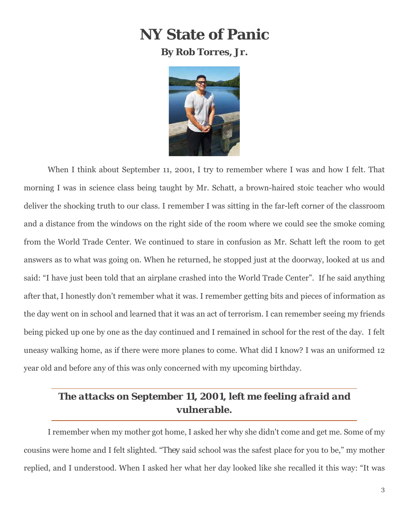# **NY State of Panic**

**By Rob Torres, Jr.**



When I think about September 11, 2001, I try to remember where I was and how I felt. That morning I was in science class being taught by Mr. Schatt, a brown-haired stoic teacher who would deliver the shocking truth to our class. I remember I was sitting in the far-left corner of the classroom and a distance from the windows on the right side of the room where we could see the smoke coming from the World Trade Center. We continued to stare in confusion as Mr. Schatt left the room to get answers as to what was going on. When he returned, he stopped just at the doorway, looked at us and said: "I have just been told that an airplane crashed into the World Trade Center". If he said anything after that, I honestly don't remember what it was. I remember getting bits and pieces of information as the day went on in school and learned that it was an act of terrorism. I can remember seeing my friends being picked up one by one as the day continued and I remained in school for the rest of the day. I felt uneasy walking home, as if there were more planes to come. What did I know? I was an uniformed 12 year old and before any of this was only concerned with my upcoming birthday.

### *The attacks on September 11, 2001, left me feeling afraid and vulnerable.*

I remember when my mother got home, I asked her why she didn't come and get me. Some of my cousins were home and I felt slighted. "*They* said school was the safest place for you to be," my mother replied, and I understood. When I asked her what her day looked like she recalled it this way: "It was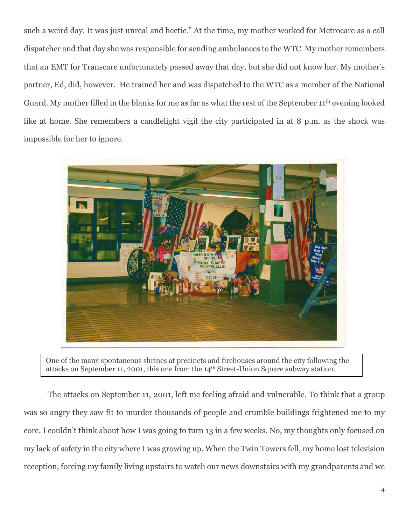such a weird day. It was just unreal and hectic." At the time, my mother worked for Metrocare as a call dispatcher and that day she was responsible for sending ambulances to the WTC. My mother remembers that an EMT for Transcare unfortunately passed away that day, but she did not know her. My mother's partner, Ed, did, however. He trained her and was dispatched to the WTC as a member of the National Guard. My mother filled in the blanks for me as far as what the rest of the September 11th evening looked like at home. She remembers a candlelight vigil the city participated in at 8 p.m. as the shock was impossible for her to ignore.



One of the many spontaneous shrines at precincts and firehouses around the city following the attacks on September 11, 2001, this one from the 14th Street-Union Square subway station.

The attacks on September 11, 2001, left me feeling afraid and vulnerable. To think that a group was so angry they saw fit to murder thousands of people and crumble buildings frightened me to my core. I couldn't think about how I was going to turn 13 in a few weeks. No, my thoughts only focused on my lack of safety in the city where I was growing up. When the Twin Towers fell, my home lost television reception, forcing my family living upstairs to watch our news downstairs with my grandparents and we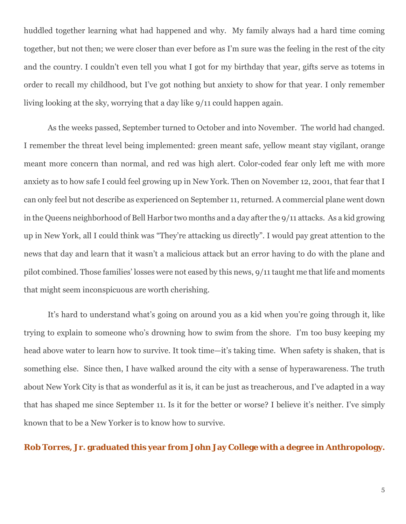huddled together learning what had happened and why. My family always had a hard time coming together, but not then; we were closer than ever before as I'm sure was the feeling in the rest of the city and the country. I couldn't even tell you what I got for my birthday that year, gifts serve as totems in order to recall my childhood, but I've got nothing but anxiety to show for that year. I only remember living looking at the sky, worrying that a day like 9/11 could happen again.

As the weeks passed, September turned to October and into November. The world had changed. I remember the threat level being implemented: green meant safe, yellow meant stay vigilant, orange meant more concern than normal, and red was high alert. Color-coded fear only left me with more anxiety as to how safe I could feel growing up in New York. Then on November 12, 2001, that fear that I can only feel but not describe as experienced on September 11, returned. A commercial plane went down in the Queens neighborhood of Bell Harbor two months and a day after the 9/11 attacks. As a kid growing up in New York, all I could think was "They're attacking us directly". I would pay great attention to the news that day and learn that it wasn't a malicious attack but an error having to do with the plane and pilot combined. Those families' losses were not eased by this news, 9/11 taught me that life and moments that might seem inconspicuous are worth cherishing.

It's hard to understand what's going on around you as a kid when you're going through it, like trying to explain to someone who's drowning how to swim from the shore. I'm too busy keeping my head above water to learn how to survive. It took time—it's taking time. When safety is shaken, that is something else. Since then, I have walked around the city with a sense of hyperawareness. The truth about New York City is that as wonderful as it is, it can be just as treacherous, and I've adapted in a way that has shaped me since September 11. Is it for the better or worse? I believe it's neither. I've simply known that to be a New Yorker is to know how to survive.

#### **Rob Torres, Jr. graduated this year from John Jay College with a degree in Anthropology.**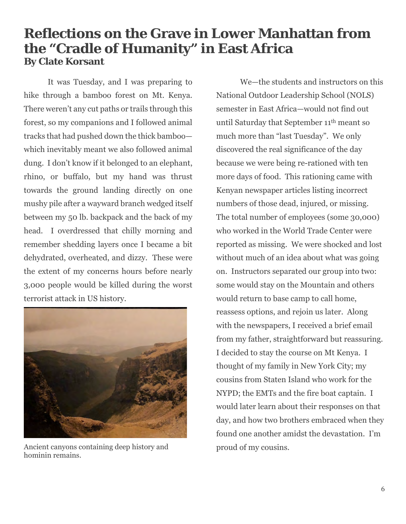# **Reflections on the Grave in Lower Manhattan from the "Cradle of Humanity" in East Africa By Clate Korsant**

It was Tuesday, and I was preparing to hike through a bamboo forest on Mt. Kenya. There weren't any cut paths or trails through this forest, so my companions and I followed animal tracks that had pushed down the thick bamboo which inevitably meant we also followed animal dung. I don't know if it belonged to an elephant, rhino, or buffalo, but my hand was thrust towards the ground landing directly on one mushy pile after a wayward branch wedged itself between my 50 lb. backpack and the back of my head. I overdressed that chilly morning and remember shedding layers once I became a bit dehydrated, overheated, and dizzy. These were the extent of my concerns hours before nearly 3,000 people would be killed during the worst terrorist attack in US history.



Ancient canyons containing deep history and hominin remains.

We—the students and instructors on this National Outdoor Leadership School (NOLS) semester in East Africa—would not find out until Saturday that September 11th meant so much more than "last Tuesday". We only discovered the real significance of the day because we were being re-rationed with ten more days of food. This rationing came with Kenyan newspaper articles listing incorrect numbers of those dead, injured, or missing. The total number of employees (some 30,000) who worked in the World Trade Center were reported as missing. We were shocked and lost without much of an idea about what was going on. Instructors separated our group into two: some would stay on the Mountain and others would return to base camp to call home, reassess options, and rejoin us later. Along with the newspapers, I received a brief email from my father, straightforward but reassuring. I decided to stay the course on Mt Kenya. I thought of my family in New York City; my cousins from Staten Island who work for the NYPD; the EMTs and the fire boat captain. I would later learn about their responses on that day, and how two brothers embraced when they found one another amidst the devastation. I'm proud of my cousins.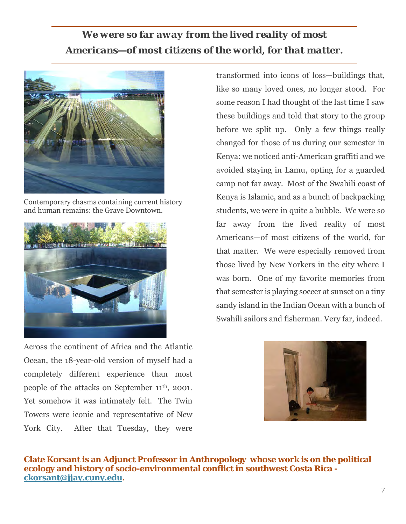## *We were so far away from the lived reality of most Americans—of most citizens of the world, for that matter.*



Contemporary chasms containing current history and human remains: the Grave Downtown.



Across the continent of Africa and the Atlantic Ocean, the 18-year-old version of myself had a completely different experience than most people of the attacks on September 11th, 2001. Yet somehow it was intimately felt. The Twin Towers were iconic and representative of New York City. After that Tuesday, they were

transformed into icons of loss—buildings that, like so many loved ones, no longer stood. For some reason I had thought of the last time I saw these buildings and told that story to the group before we split up. Only a few things really changed for those of us during our semester in Kenya: we noticed anti-American graffiti and we avoided staying in Lamu, opting for a guarded camp not far away. Most of the Swahili coast of Kenya is Islamic, and as a bunch of backpacking students, we were in quite a bubble. We were so far away from the lived reality of most Americans—of most citizens of the world, for that matter. We were especially removed from those lived by New Yorkers in the city where I was born. One of my favorite memories from that semester is playing soccer at sunset on a tiny sandy island in the Indian Ocean with a bunch of Swahili sailors and fisherman. Very far, indeed.



**Clate Korsant is an Adjunct Professor in Anthropology whose work is on the political ecology and history of socio-environmental conflict in southwest Costa Rica [ckorsant@jjay.cuny.edu.](mailto:ckorsant@jjay.cuny.edu)**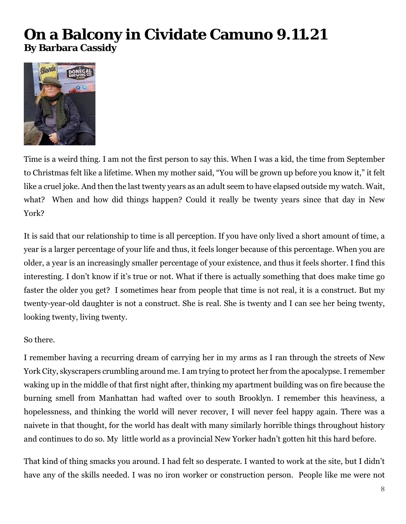# **On a Balcony in Cividate Camuno 9.11.21 By Barbara Cassidy**



Time is a weird thing. I am not the first person to say this. When I was a kid, the time from September to Christmas felt like a lifetime. When my mother said, "You will be grown up before you know it," it felt like a cruel joke. And then the last twenty years as an adult seem to have elapsed outside my watch. Wait, what? When and how did things happen? Could it really be twenty years since that day in New York?

It is said that our relationship to time is all perception. If you have only lived a short amount of time, a year is a larger percentage of your life and thus, it feels longer because of this percentage. When you are older, a year is an increasingly smaller percentage of your existence, and thus it feels shorter. I find this interesting. I don't know if it's true or not. What if there is actually something that does make time go faster the older you get? I sometimes hear from people that time is not real, it is a construct. But my twenty-year-old daughter is not a construct. She is real. She is twenty and I can see her being twenty, looking twenty, living twenty.

#### So there.

I remember having a recurring dream of carrying her in my arms as I ran through the streets of New York City, skyscrapers crumbling around me. I am trying to protect her from the apocalypse. I remember waking up in the middle of that first night after, thinking my apartment building was on fire because the burning smell from Manhattan had wafted over to south Brooklyn. I remember this heaviness, a hopelessness, and thinking the world will never recover, I will never feel happy again. There was a naivete in that thought, for the world has dealt with many similarly horrible things throughout history and continues to do so. My little world as a provincial New Yorker hadn't gotten hit this hard before.

That kind of thing smacks you around. I had felt so desperate. I wanted to work at the site, but I didn't have any of the skills needed. I was no iron worker or construction person. People like me were not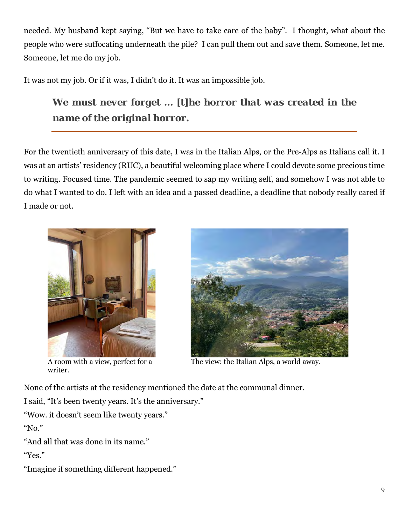needed. My husband kept saying, "But we have to take care of the baby". I thought, what about the people who were suffocating underneath the pile? I can pull them out and save them. Someone, let me. Someone, let me do my job.

It was not my job. Or if it was, I didn't do it. It was an impossible job.

*We must never forget … [t]he horror that was created in the name of the original horror.* 

For the twentieth anniversary of this date, I was in the Italian Alps, or the Pre-Alps as Italians call it. I was at an artists' residency (RUC), a beautiful welcoming place where I could devote some precious time to writing. Focused time. The pandemic seemed to sap my writing self, and somehow I was not able to do what I wanted to do. I left with an idea and a passed deadline, a deadline that nobody really cared if I made or not.



writer.



A room with a view, perfect for a The view: the Italian Alps, a world away.

None of the artists at the residency mentioned the date at the communal dinner.

I said, "It's been twenty years. It's the anniversary."

"Wow. it doesn't seem like twenty years."

"No."

"And all that was done in its name."

"Yes."

"Imagine if something different happened."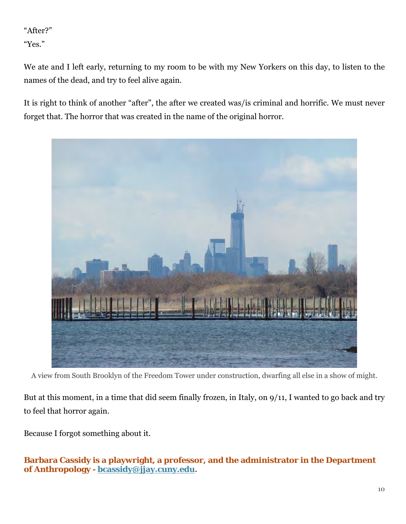### "After?"

"Yes."

We ate and I left early, returning to my room to be with my New Yorkers on this day, to listen to the names of the dead, and try to feel alive again.

It is right to think of another "after", the after we created was/is criminal and horrific. We must never forget that. The horror that was created in the name of the original horror.



A view from South Brooklyn of the Freedom Tower under construction, dwarfing all else in a show of might.

But at this moment, in a time that did seem finally frozen, in Italy, on 9/11, I wanted to go back and try to feel that horror again.

Because I forgot something about it.

#### **Barbara Cassidy is a playwright, a professor, and the administrator in the Department of Anthropology - [bcassidy@jjay.cuny.edu.](mailto:bcassidy@jjay.cuny.edu)**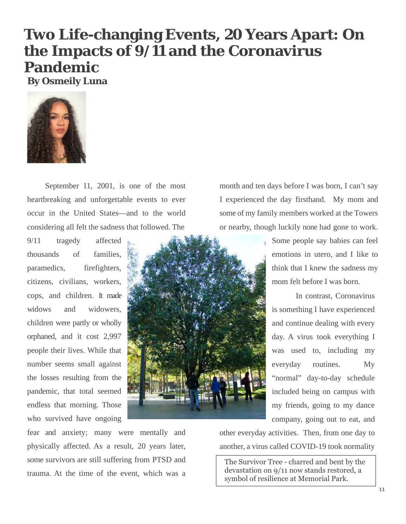# **Two Life-changing Events, 20 Years Apart: On the Impacts of 9/11 and the Coronavirus Pandemic**

**By Osmeily Luna**



September 11, 2001, is one of the most heartbreaking and unforgettable events to ever occur in the United States—and to the world considering all felt the sadness that followed. The

9/11 tragedy affected thousands of families, paramedics, firefighters, citizens, civilians, workers, cops, and children. It made widows and widowers, children were partly or wholly orphaned, and it cost 2,997 people their lives. While that number seems small against the losses resulting from the pandemic, that total seemed endless that morning. Those who survived have ongoing



month and ten days before I was born, I can't say I experienced the day firsthand. My mom and some of my family members worked at the Towers or nearby, though luckily none had gone to work.

> Some people say babies can feel emotions in utero, and I like to think that I knew the sadness my mom felt before I was born.

In contrast, Coronavirus is something I have experienced and continue dealing with every day. A virus took everything I was used to, including my everyday routines. My "normal" day-to-day schedule included being on campus with my friends, going to my dance company, going out to eat, and

fear and anxiety; many were mentally and physically affected. As a result, 20 years later, some survivors are still suffering from PTSD and trauma. At the time of the event, which was a other everyday activities. Then, from one day to another, a virus called COVID-19 took normality

The Survivor Tree - charred and bent by the devastation on 9/11 now stands restored, a symbol of resilience at Memorial Park.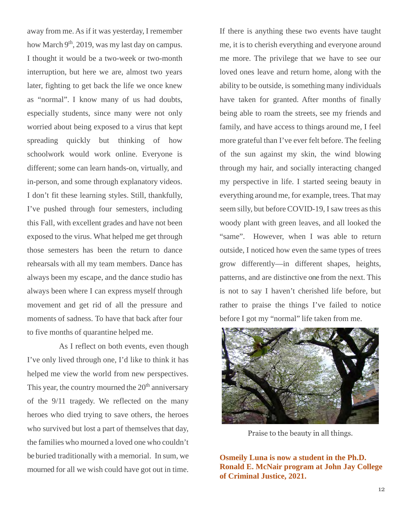away from me. As if it was yesterday, I remember how March  $9<sup>th</sup>$ , 2019, was my last day on campus. I thought it would be a two-week or two-month interruption, but here we are, almost two years later, fighting to get back the life we once knew as "normal". I know many of us had doubts, especially students, since many were not only worried about being exposed to a virus that kept spreading quickly but thinking of how schoolwork would work online. Everyone is different; some can learn hands-on, virtually, and in-person, and some through explanatory videos. I don't fit these learning styles. Still, thankfully, I've pushed through four semesters, including this Fall, with excellent grades and have not been exposed to the virus. What helped me get through those semesters has been the return to dance rehearsals with all my team members. Dance has always been my escape, and the dance studio has always been where I can express myself through movement and get rid of all the pressure and moments of sadness. To have that back after four to five months of quarantine helped me.

As I reflect on both events, even though I've only lived through one, I'd like to think it has helped me view the world from new perspectives. This year, the country mourned the  $20<sup>th</sup>$  anniversary of the 9/11 tragedy. We reflected on the many heroes who died trying to save others, the heroes who survived but lost a part of themselves that day, the families who mourned a loved one who couldn't be buried traditionally with a memorial. In sum, we mourned for all we wish could have got out in time.

If there is anything these two events have taught me, it is to cherish everything and everyone around me more. The privilege that we have to see our loved ones leave and return home, along with the ability to be outside, is something many individuals have taken for granted. After months of finally being able to roam the streets, see my friends and family, and have access to things around me, I feel more grateful than I've ever felt before. The feeling of the sun against my skin, the wind blowing through my hair, and socially interacting changed my perspective in life. I started seeing beauty in everything around me, for example, trees. That may seem silly, but before COVID-19, I saw trees as this woody plant with green leaves, and all looked the "same". However, when I was able to return outside, I noticed how even the same types of trees grow differently—in different shapes, heights, patterns, and are distinctive one from the next. This is not to say I haven't cherished life before, but rather to praise the things I've failed to notice before I got my "normal" life taken from me.



Praise to the beauty in all things.

**Osmeily Luna is now a student in the Ph.D. Ronald E. McNair program at John Jay College of Criminal Justice, 2021.**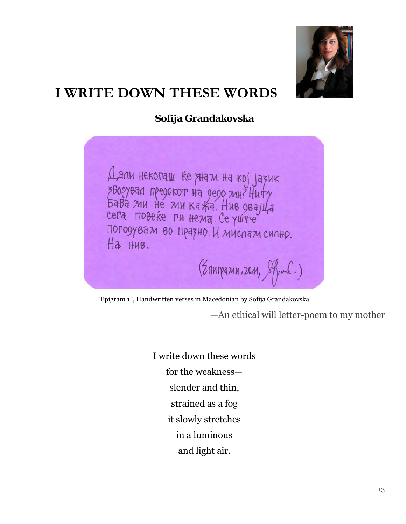

# **I WRITE DOWN THESE WORDS**

**Sofija Grandakovska**

Дали некогаш ќе знам на кој јазик<br>зворувал предокот на дедо ми? Ниту<br>Бава ми не ми кажа. Нив дваји на<br>сега повеќе ги нема. Се уште Погодувам во празно. И мислам силно. На нив.  $(2nnpqxu, 20u, 8fwd.)$ 

"Epigram 1", Handwritten verses in Macedonian by Sofija Grandakovska.

—An ethical will letter-poem to my mother

I write down these words for the weakness slender and thin, strained as a fog it slowly stretches in a luminous and light air.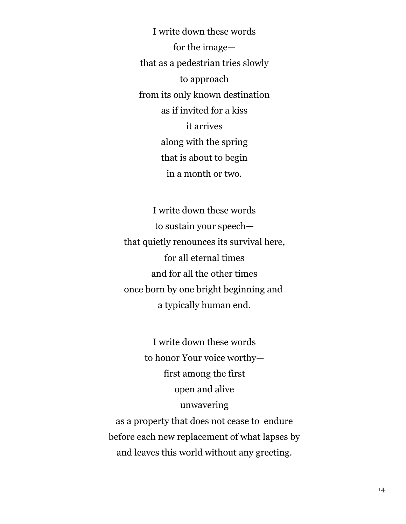I write down these words for the image that as a pedestrian tries slowly to approach from its only known destination as if invited for a kiss it arrives along with the spring that is about to begin in a month or two.

I write down these words to sustain your speech that quietly renounces its survival here, for all eternal times and for all the other times once born by one bright beginning and a typically human end.

I write down these words to honor Your voice worthy first among the first open and alive unwavering as a property that does not cease to endure before each new replacement of what lapses by

and leaves this world without any greeting.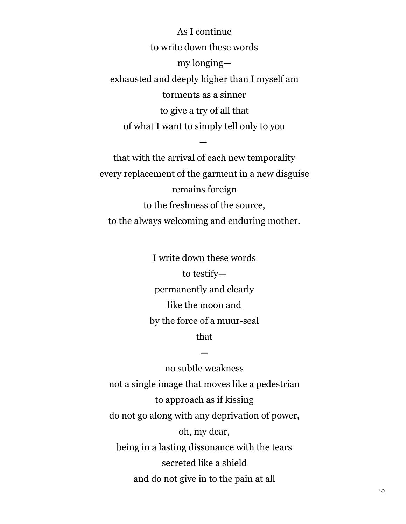As I continue to write down these words my longing exhausted and deeply higher than I myself am torments as a sinner to give a try of all that of what I want to simply tell only to you

that with the arrival of each new temporality every replacement of the garment in a new disguise remains foreign to the freshness of the source, to the always welcoming and enduring mother.

—

I write down these words to testify permanently and clearly like the moon and by the force of a muur-seal that

—

no subtle weakness not a single image that moves like a pedestrian to approach as if kissing do not go along with any deprivation of power, oh, my dear, being in a lasting dissonance with the tears secreted like a shield and do not give in to the pain at all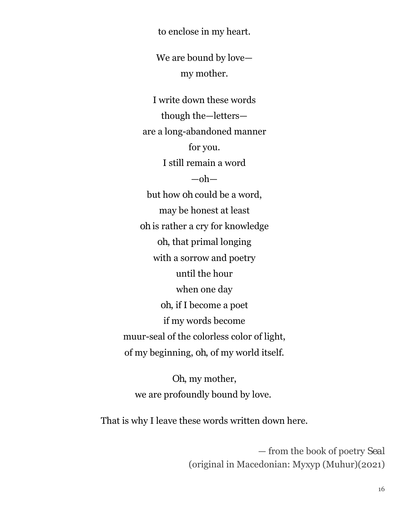to enclose in my heart.

We are bound by love my mother.

I write down these words though the—letters are a long-abandoned manner for you. I still remain a word  $-$ oh $$ but how *oh* could be a word, may be honest at least *oh* is rather a cry for knowledge *oh*, that primal longing with a sorrow and poetry until the hour when one day *oh*, if I become a poet if my words become muur-seal of the colorless color of light, of my beginning, *oh*, of my world itself.

*Oh*, my mother, we are profoundly bound by love.

That is why I leave these words written down here.

— from the book of poetry *Seal* (original in Macedonian: Mухур (Muhur)(2021)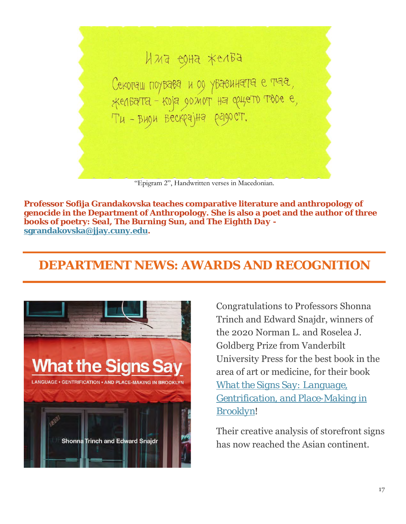

"Epigram 2", Handwritten verses in Macedonian.

**Professor Sofija Grandakovska teaches comparative literature and anthropology of genocide in the Department of Anthropology. She is also a poet and the author of three books of poetry:** *Seal***,** *The Burning Sun***, and** *The Eighth Day* **[sgrandakovska@jjay.cuny.edu.](mailto:sgrandakovska@jjay.cuny.edu)** 

## **DEPARTMENT NEWS: AWARDS AND RECOGNITION**



Congratulations to Professors Shonna Trinch and Edward Snajdr, winners of the 2020 Norman L. and Roselea J. Goldberg Prize from Vanderbilt University Press for the best book in the area of art or medicine, for their book *[What the Signs Say: Language,](https://www.vanderbilt.edu/university-press/book/9780826522771)  [Gentrification, and Place-Making in](https://www.vanderbilt.edu/university-press/book/9780826522771)  [Brooklyn](https://www.vanderbilt.edu/university-press/book/9780826522771)*!

Their creative analysis of storefront signs has now reached the Asian continent.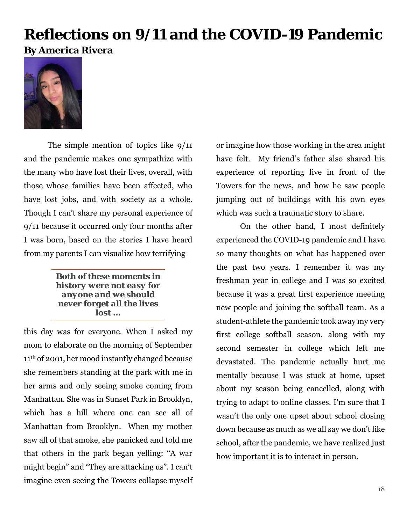# **Reflections on 9/11 and the COVID-19 Pandemic By America Rivera**



The simple mention of topics like 9/11 and the pandemic makes one sympathize with the many who have lost their lives, overall, with those whose families have been affected, who have lost jobs, and with society as a whole. Though I can't share my personal experience of 9/11 because it occurred only four months after I was born, based on the stories I have heard from my parents I can visualize how terrifying

> *Both of these moments in history were not easy for anyone and we should never forget all the lives lost ...*

this day was for everyone. When I asked my mom to elaborate on the morning of September 11th of 2001, her mood instantly changed because she remembers standing at the park with me in her arms and only seeing smoke coming from Manhattan. She was in Sunset Park in Brooklyn, which has a hill where one can see all of Manhattan from Brooklyn. When my mother saw all of that smoke, she panicked and told me that others in the park began yelling: "A war might begin" and "They are attacking us". I can't imagine even seeing the Towers collapse myself or imagine how those working in the area might have felt. My friend's father also shared his experience of reporting live in front of the Towers for the news, and how he saw people jumping out of buildings with his own eyes which was such a traumatic story to share.

On the other hand, I most definitely experienced the COVID-19 pandemic and I have so many thoughts on what has happened over the past two years. I remember it was my freshman year in college and I was so excited because it was a great first experience meeting new people and joining the softball team. As a student-athlete the pandemic took away my very first college softball season, along with my second semester in college which left me devastated. The pandemic actually hurt me mentally because I was stuck at home, upset about my season being cancelled, along with trying to adapt to online classes. I'm sure that I wasn't the only one upset about school closing down because as much as we all say we don't like school, after the pandemic, we have realized just how important it is to interact in person.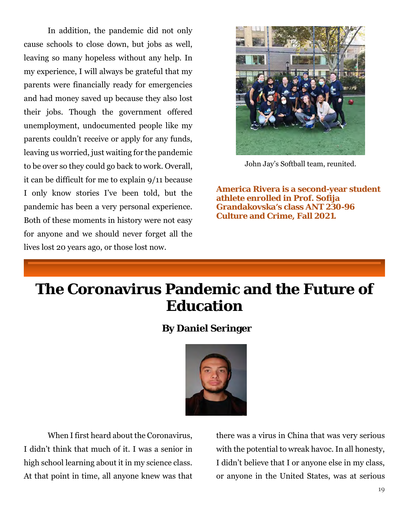In addition, the pandemic did not only cause schools to close down, but jobs as well, leaving so many hopeless without any help. In my experience, I will always be grateful that my parents were financially ready for emergencies and had money saved up because they also lost their jobs. Though the government offered unemployment, undocumented people like my parents couldn't receive or apply for any funds, leaving us worried, just waiting for the pandemic to be over so they could go back to work. Overall, it can be difficult for me to explain 9/11 because I only know stories I've been told, but the pandemic has been a very personal experience. Both of these moments in history were not easy for anyone and we should never forget all the lives lost 20 years ago, or those lost now.



John Jay's Softball team, reunited.

**America Rivera is a second-year student athlete enrolled in Prof. Sofija Grandakovska's class ANT 230-96 Culture and Crime, Fall 2021.**

# **The Coronavirus Pandemic and the Future of Education**

### **By Daniel Seringer**



When I first heard about the Coronavirus, I didn't think that much of it. I was a senior in high school learning about it in my science class. At that point in time, all anyone knew was that there was a virus in China that was very serious with the potential to wreak havoc. In all honesty, I didn't believe that I or anyone else in my class, or anyone in the United States, was at serious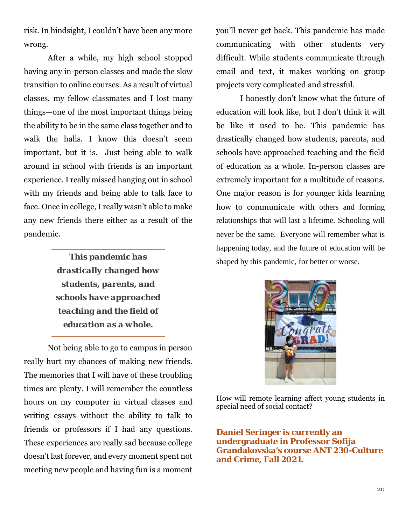risk. In hindsight, I couldn't have been any more wrong.

After a while, my high school stopped having any in-person classes and made the slow transition to online courses. As a result of virtual classes, my fellow classmates and I lost many things—one of the most important things being the ability to be in the same class together and to walk the halls. I know this doesn't seem important, but it is. Just being able to walk around in school with friends is an important experience. I really missed hanging out in school with my friends and being able to talk face to face. Once in college, I really wasn't able to make any new friends there either as a result of the pandemic.

> *This pandemic has drastically changed how students, parents, and schools have approached teaching and the field of education as a whole.*

Not being able to go to campus in person really hurt my chances of making new friends. The memories that I will have of these troubling times are plenty. I will remember the countless hours on my computer in virtual classes and writing essays without the ability to talk to friends or professors if I had any questions. These experiences are really sad because college doesn't last forever, and every moment spent not meeting new people and having fun is a moment you'll never get back. This pandemic has made communicating with other students very difficult. While students communicate through email and text, it makes working on group projects very complicated and stressful.

I honestly don't know what the future of education will look like, but I don't think it will be like it used to be. This pandemic has drastically changed how students, parents, and schools have approached teaching and the field of education as a whole. In-person classes are extremely important for a multitude of reasons. One major reason is for younger kids learning how to communicate with others and forming relationships that will last a lifetime. Schooling will never be the same. Everyone will remember what is happening today, and the future of education will be shaped by this pandemic, for better or worse.



How will remote learning affect young students in special need of social contact?

**Daniel Seringer is currently an undergraduate in Professor Sofija Grandakovska's course ANT 230-Culture and Crime, Fall 2021.**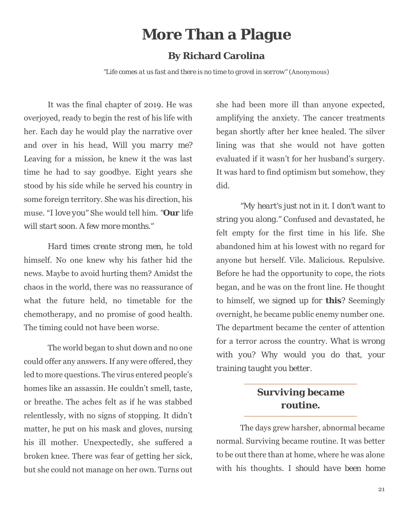# **More Than a Plague**

#### **By Richard Carolina**

*"Life comes at us fast and there is no time to grovel in sorrow"* (Anonymous)

It was the final chapter of 2019. He was overjoyed, ready to begin the rest of his life with her. Each day he would play the narrative over and over in his head, *Will you marry me?*  Leaving for a mission, he knew it the was last time he had to say goodbye. Eight years she stood by his side while he served his country in some foreign territory. She was his direction, his muse. "*I love you"* She would tell him. *"Our life will start soon. A few more months."*

*Hard times create strong men*, he told himself. No one knew why his father hid the news. Maybe to avoid hurting them? Amidst the chaos in the world, there was no reassurance of what the future held, no timetable for the chemotherapy, and no promise of good health. The timing could not have been worse.

The world began to shut down and no one could offer any answers. If any were offered, they led to more questions. The virus entered people's homes like an assassin. He couldn't smell, taste, or breathe. The aches felt as if he was stabbed relentlessly, with no signs of stopping. It didn't matter, he put on his mask and gloves, nursing his ill mother. Unexpectedly, she suffered a broken knee. There was fear of getting her sick, but she could not manage on her own. Turns out

she had been more ill than anyone expected, amplifying the anxiety. The cancer treatments began shortly after her knee healed. The silver lining was that she would not have gotten evaluated if it wasn't for her husband's surgery. It was hard to find optimism but somehow, they did.

*"My heart's just not in it. I don't want to string you along."* Confused and devastated, he felt empty for the first time in his life. She abandoned him at his lowest with no regard for anyone but herself. Vile. Malicious. Repulsive. Before he had the opportunity to cope, the riots began, and he was on the front line. He thought to himself, *we signed up for this?* Seemingly overnight, he became public enemy number one. The department became the center of attention for a terror across the country. *What is wrong with you? Why would you do that, your training taught you better.*

### *Surviving became routine.*

The days grew harsher, abnormal became normal. Surviving became routine. It was better to be out there than at home, where he was alone with his thoughts. *I should have been home*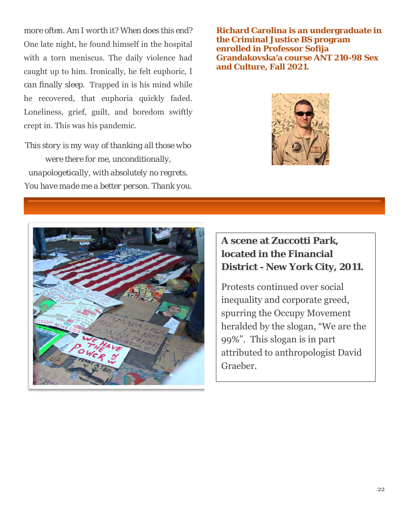*more often. Am I worth it? When does this end?*  One late night, he found himself in the hospital with a torn meniscus. The daily violence had caught up to him. Ironically, he felt euphoric, *I can finally sleep*. Trapped in is his mind while he recovered, that euphoria quickly faded. Loneliness, grief, guilt, and boredom swiftly crept in. This was his pandemic.

*This story is my way of thanking all those who were there for me, unconditionally, unapologetically, with absolutely no regrets. You have made me a better person. Thank you.* **Richard Carolina is an undergraduate in the Criminal Justice BS program enrolled in Professor Sofija Grandakovska'a course ANT 210-98 Sex and Culture, Fall 2021.**





### **A scene at Zuccotti Park, located in the Financial District - New York City, 2011.**

Protests continued over social inequality and corporate greed, spurring the Occupy Movement heralded by the slogan, "We are the 99%". This slogan is in part attributed to anthropologist David Graeber.